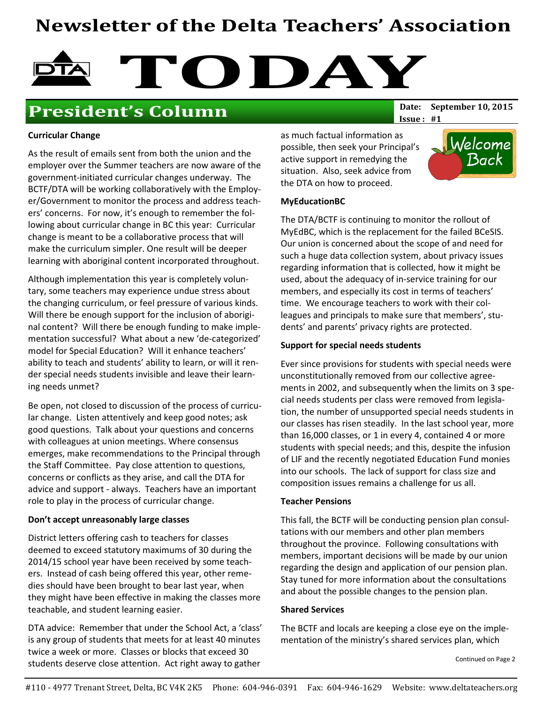# Newsletter of the Delta Teachers' Association



## **President's Column** Date: September 10, 2015

 $Issue: #1$ 

#### Curricular Change

As the result of emails sent from both the union and the employer over the Summer teachers are now aware of the government-initiated curricular changes underway. The BCTF/DTA will be working collaboratively with the Employer/Government to monitor the process and address teachers' concerns. For now, it's enough to remember the following about curricular change in BC this year: Curricular change is meant to be a collaborative process that will make the curriculum simpler. One result will be deeper learning with aboriginal content incorporated throughout.

Although implementation this year is completely voluntary, some teachers may experience undue stress about the changing curriculum, or feel pressure of various kinds. Will there be enough support for the inclusion of aboriginal content? Will there be enough funding to make implementation successful? What about a new 'de-categorized' model for Special Education? Will it enhance teachers' ability to teach and students' ability to learn, or will it render special needs students invisible and leave their learning needs unmet?

Be open, not closed to discussion of the process of curricular change. Listen attentively and keep good notes; ask good questions. Talk about your questions and concerns with colleagues at union meetings. Where consensus emerges, make recommendations to the Principal through the Staff Committee. Pay close attention to questions, concerns or conflicts as they arise, and call the DTA for advice and support - always. Teachers have an important role to play in the process of curricular change.

#### Don't accept unreasonably large classes

District letters offering cash to teachers for classes deemed to exceed statutory maximums of 30 during the 2014/15 school year have been received by some teachers. Instead of cash being offered this year, other remedies should have been brought to bear last year, when they might have been effective in making the classes more teachable, and student learning easier.

DTA advice: Remember that under the School Act, a 'class' is any group of students that meets for at least 40 minutes twice a week or more. Classes or blocks that exceed 30 students deserve close attention. Act right away to gather

as much factual information as possible, then seek your Principal's active support in remedying the situation. Also, seek advice from the DTA on how to proceed.



#### MyEducationBC

The DTA/BCTF is continuing to monitor the rollout of MyEdBC, which is the replacement for the failed BCeSIS. Our union is concerned about the scope of and need for such a huge data collection system, about privacy issues regarding information that is collected, how it might be used, about the adequacy of in-service training for our members, and especially its cost in terms of teachers' time. We encourage teachers to work with their colleagues and principals to make sure that members', students' and parents' privacy rights are protected.

#### Support for special needs students

Ever since provisions for students with special needs were unconstitutionally removed from our collective agreements in 2002, and subsequently when the limits on 3 special needs students per class were removed from legislation, the number of unsupported special needs students in our classes has risen steadily. In the last school year, more than 16,000 classes, or 1 in every 4, contained 4 or more students with special needs; and this, despite the infusion of LIF and the recently negotiated Education Fund monies into our schools. The lack of support for class size and composition issues remains a challenge for us all.

#### Teacher Pensions

This fall, the BCTF will be conducting pension plan consultations with our members and other plan members throughout the province. Following consultations with members, important decisions will be made by our union regarding the design and application of our pension plan. Stay tuned for more information about the consultations and about the possible changes to the pension plan.

#### Shared Services

The BCTF and locals are keeping a close eye on the implementation of the ministry's shared services plan, which

Continued on Page 2